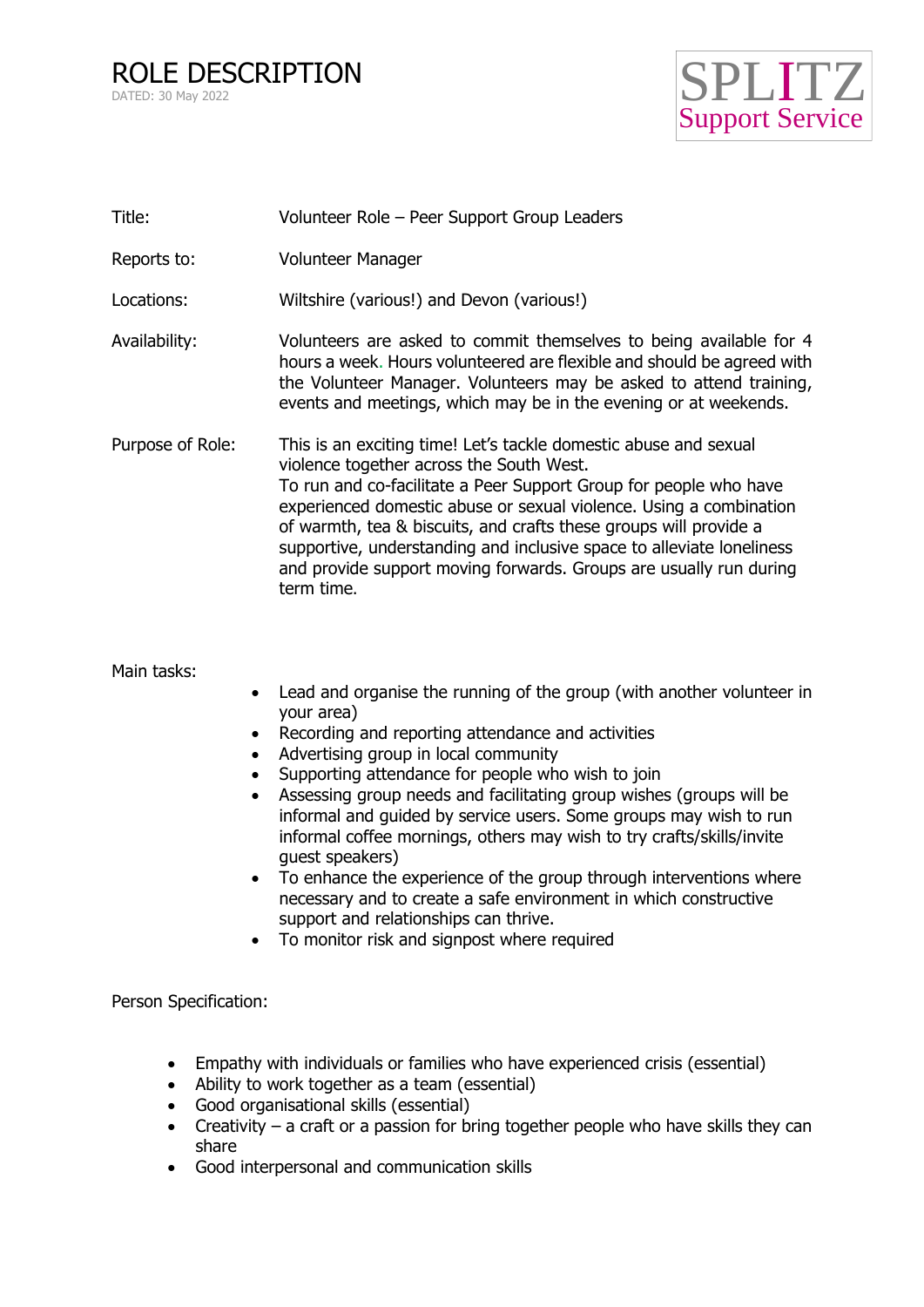ROLE DESCRIPTION DATED: 30 May 2022



| Title:           | Volunteer Role - Peer Support Group Leaders                                                                                                                                                                                                                                                                                                                                                                                                                                               |
|------------------|-------------------------------------------------------------------------------------------------------------------------------------------------------------------------------------------------------------------------------------------------------------------------------------------------------------------------------------------------------------------------------------------------------------------------------------------------------------------------------------------|
| Reports to:      | Volunteer Manager                                                                                                                                                                                                                                                                                                                                                                                                                                                                         |
| Locations:       | Wiltshire (various!) and Devon (various!)                                                                                                                                                                                                                                                                                                                                                                                                                                                 |
| Availability:    | Volunteers are asked to commit themselves to being available for 4<br>hours a week. Hours volunteered are flexible and should be agreed with<br>the Volunteer Manager. Volunteers may be asked to attend training,<br>events and meetings, which may be in the evening or at weekends.                                                                                                                                                                                                    |
| Purpose of Role: | This is an exciting time! Let's tackle domestic abuse and sexual<br>violence together across the South West.<br>To run and co-facilitate a Peer Support Group for people who have<br>experienced domestic abuse or sexual violence. Using a combination<br>of warmth, tea & biscuits, and crafts these groups will provide a<br>supportive, understanding and inclusive space to alleviate loneliness<br>and provide support moving forwards. Groups are usually run during<br>term time. |

Main tasks:

- Lead and organise the running of the group (with another volunteer in your area)
- Recording and reporting attendance and activities
- Advertising group in local community
- Supporting attendance for people who wish to join
- Assessing group needs and facilitating group wishes (groups will be informal and guided by service users. Some groups may wish to run informal coffee mornings, others may wish to try crafts/skills/invite guest speakers)
- To enhance the experience of the group through interventions where necessary and to create a safe environment in which constructive support and relationships can thrive.
- To monitor risk and signpost where required

Person Specification:

- Empathy with individuals or families who have experienced crisis (essential)
- Ability to work together as a team (essential)
- Good organisational skills (essential)
- Creativity a craft or a passion for bring together people who have skills they can share
- Good interpersonal and communication skills